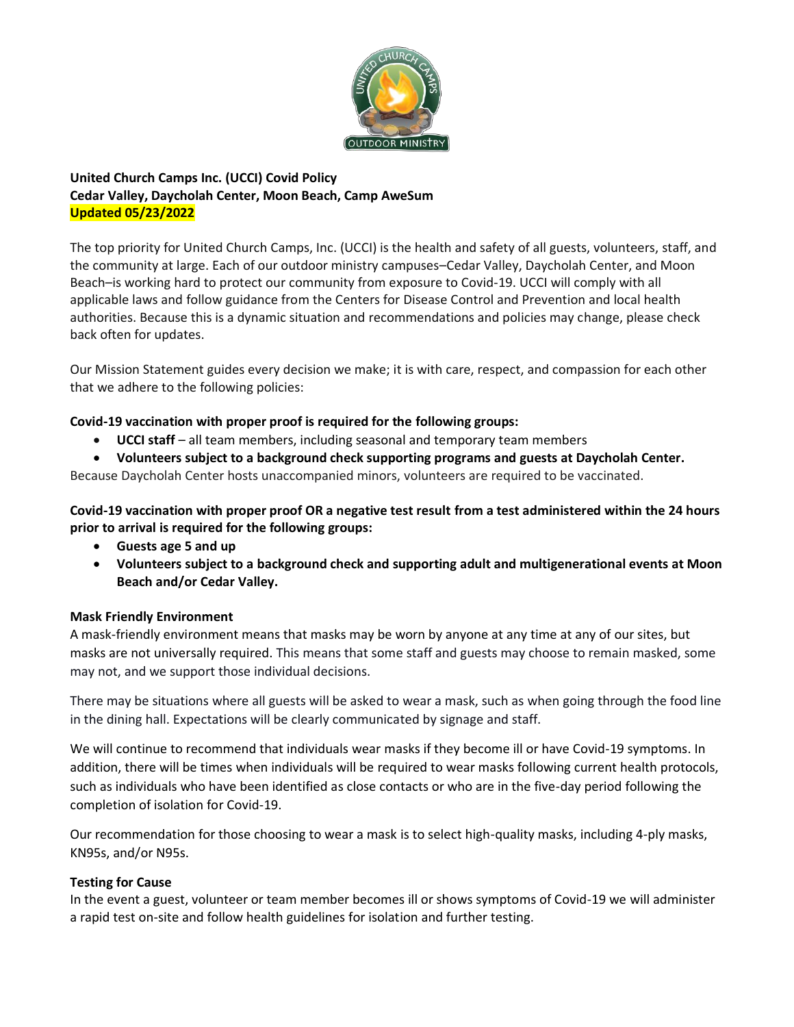

# **United Church Camps Inc. (UCCI) Covid Policy Cedar Valley, Daycholah Center, Moon Beach, Camp AweSum Updated 05/23/2022**

The top priority for United Church Camps, Inc. (UCCI) is the health and safety of all guests, volunteers, staff, and the community at large. Each of our outdoor ministry campuses–Cedar Valley, Daycholah Center, and Moon Beach–is working hard to protect our community from exposure to Covid-19. UCCI will comply with all applicable laws and follow guidance from the Centers for Disease Control and Prevention and local health authorities. Because this is a dynamic situation and recommendations and policies may change, please check back often for updates.

Our Mission Statement guides every decision we make; it is with care, respect, and compassion for each other that we adhere to the following policies:

## **Covid-19 vaccination with proper proof is required for the following groups:**

- **UCCI staff**  all team members, including seasonal and temporary team members
- **Volunteers subject to a background check supporting programs and guests at Daycholah Center.**

Because Daycholah Center hosts unaccompanied minors, volunteers are required to be vaccinated.

**Covid-19 vaccination with proper proof OR a negative test result from a test administered within the 24 hours prior to arrival is required for the following groups:** 

- **Guests age 5 and up**
- **Volunteers subject to a background check and supporting adult and multigenerational events at Moon Beach and/or Cedar Valley.**

## **Mask Friendly Environment**

A mask-friendly environment means that masks may be worn by anyone at any time at any of our sites, but masks are not universally required. This means that some staff and guests may choose to remain masked, some may not, and we support those individual decisions.

There may be situations where all guests will be asked to wear a mask, such as when going through the food line in the dining hall. Expectations will be clearly communicated by signage and staff.

We will continue to recommend that individuals wear masks if they become ill or have Covid-19 symptoms. In addition, there will be times when individuals will be required to wear masks following current health protocols, such as individuals who have been identified as close contacts or who are in the five-day period following the completion of isolation for Covid-19.

Our recommendation for those choosing to wear a mask is to select high-quality masks, including 4-ply masks, KN95s, and/or N95s.

## **Testing for Cause**

In the event a guest, volunteer or team member becomes ill or shows symptoms of Covid-19 we will administer a rapid test on-site and follow health guidelines for isolation and further testing.